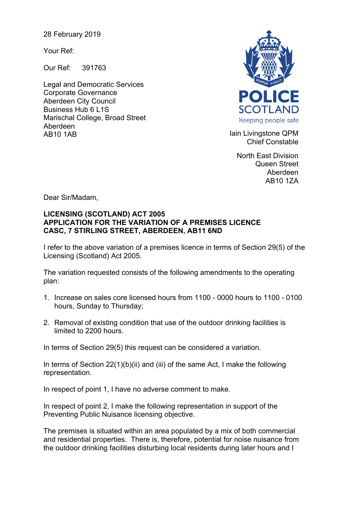28 February 2019

Your Ref:

Our Ref: 391763

Legal and Democratic Services Corporate Governance Aberdeen City Council Business Hub 6 L1S Marischal College, Broad Street Aberdeen AB10 1AB **Iain Livingstone QPM** 



Chief Constable

North East Division Queen Street Aberdeen AB10 1ZA

Dear Sir/Madam,

## **LICENSING (SCOTLAND) ACT 2005 APPLICATION FOR THE VARIATION OF A PREMISES LICENCE CASC, 7 STIRLING STREET, ABERDEEN, AB11 6ND**

I refer to the above variation of a premises licence in terms of Section 29(5) of the Licensing (Scotland) Act 2005.

The variation requested consists of the following amendments to the operating plan:

- 1. Increase on sales core licensed hours from 1100 0000 hours to 1100 0100 hours, Sunday to Thursday;
- 2. Removal of existing condition that use of the outdoor drinking facilities is limited to 2200 hours.

In terms of Section 29(5) this request can be considered a variation.

In terms of Section 22(1)(b)(ii) and (iii) of the same Act, I make the following representation.

In respect of point 1, I have no adverse comment to make.

In respect of point 2, I make the following representation in support of the Preventing Public Nuisance licensing objective.

The premises is situated within an area populated by a mix of both commercial and residential properties. There is, therefore, potential for noise nuisance from the outdoor drinking facilities disturbing local residents during later hours and I